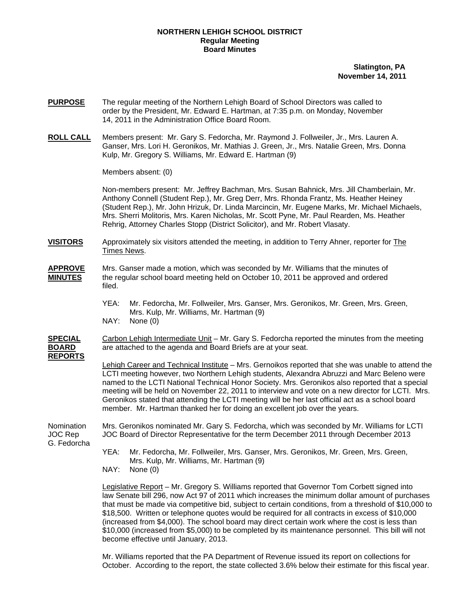# **NORTHERN LEHIGH SCHOOL DISTRICT Regular Meeting Board Minutes**

 **Slatington, PA November 14, 2011** 

- **PURPOSE** The regular meeting of the Northern Lehigh Board of School Directors was called to order by the President, Mr. Edward E. Hartman, at 7:35 p.m. on Monday, November 14, 2011 in the Administration Office Board Room.
- **ROLL CALL** Members present: Mr. Gary S. Fedorcha, Mr. Raymond J. Follweiler, Jr., Mrs. Lauren A. Ganser, Mrs. Lori H. Geronikos, Mr. Mathias J. Green, Jr., Mrs. Natalie Green, Mrs. Donna Kulp, Mr. Gregory S. Williams, Mr. Edward E. Hartman (9)

Members absent: (0)

Non-members present: Mr. Jeffrey Bachman, Mrs. Susan Bahnick, Mrs. Jill Chamberlain, Mr. Anthony Connell (Student Rep.), Mr. Greg Derr, Mrs. Rhonda Frantz, Ms. Heather Heiney (Student Rep.), Mr. John Hrizuk, Dr. Linda Marcincin, Mr. Eugene Marks, Mr. Michael Michaels, Mrs. Sherri Molitoris, Mrs. Karen Nicholas, Mr. Scott Pyne, Mr. Paul Rearden, Ms. Heather Rehrig, Attorney Charles Stopp (District Solicitor), and Mr. Robert Vlasaty.

**VISITORS** Approximately six visitors attended the meeting, in addition to Terry Ahner, reporter for The Times News.

- **APPROVE** Mrs. Ganser made a motion, which was seconded by Mr. Williams that the minutes of **MINUTES** the regular school board meeting held on October 10, 2011 be approved and ordered filed.
	- YEA: Mr. Fedorcha, Mr. Follweiler, Mrs. Ganser, Mrs. Geronikos, Mr. Green, Mrs. Green, Mrs. Kulp, Mr. Williams, Mr. Hartman (9)
	- NAY: None (0)

**SPECIAL** Carbon Lehigh Intermediate Unit – Mr. Gary S. Fedorcha reported the minutes from the meeting **BOARD** are attached to the agenda and Board Briefs are at your seat. **REPORTS**

> Lehigh Career and Technical Institute – Mrs. Gernoikos reported that she was unable to attend the LCTI meeting however, two Northern Lehigh students, Alexandra Abruzzi and Marc Beleno were named to the LCTI National Technical Honor Society. Mrs. Geronikos also reported that a special meeting will be held on November 22, 2011 to interview and vote on a new director for LCTI. Mrs. Geronikos stated that attending the LCTI meeting will be her last official act as a school board member. Mr. Hartman thanked her for doing an excellent job over the years.

G. Fedorcha

Nomination Mrs. Geronikos nominated Mr. Gary S. Fedorcha, which was seconded by Mr. Williams for LCTI JOC Rep JOC Board of Director Representative for the term December 2011 through December 2013

> YEA: Mr. Fedorcha, Mr. Follweiler, Mrs. Ganser, Mrs. Geronikos, Mr. Green, Mrs. Green, Mrs. Kulp, Mr. Williams, Mr. Hartman (9)

NAY: None (0)

 Legislative Report – Mr. Gregory S. Williams reported that Governor Tom Corbett signed into law Senate bill 296, now Act 97 of 2011 which increases the minimum dollar amount of purchases that must be made via competitive bid, subject to certain conditions, from a threshold of \$10,000 to \$18,500. Written or telephone quotes would be required for all contracts in excess of \$10,000 (increased from \$4,000). The school board may direct certain work where the cost is less than \$10,000 (increased from \$5,000) to be completed by its maintenance personnel. This bill will not become effective until January, 2013.

 Mr. Williams reported that the PA Department of Revenue issued its report on collections for October. According to the report, the state collected 3.6% below their estimate for this fiscal year.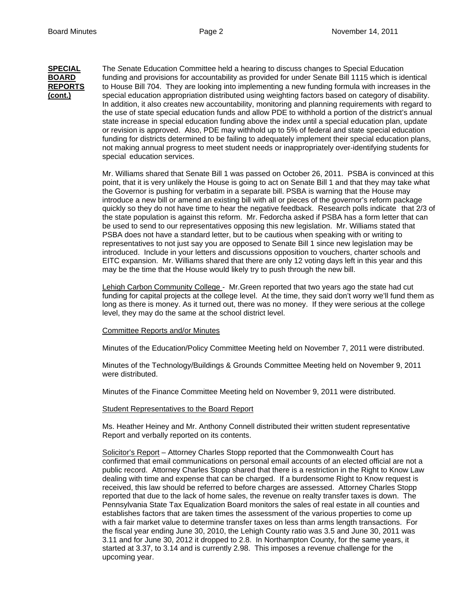**SPECIAL** The *S*enate Education Committee held a hearing to discuss changes to Special Education **BOARD** funding and provisions for accountability as provided for under Senate Bill 1115 which is identical **REPORTS** to House Bill 704. They are looking into implementing a new funding formula with increases in the **(cont.)** special education appropriation distributed using weighting factors based on category of disability. In addition, it also creates new accountability, monitoring and planning requirements with regard to the use of state special education funds and allow PDE to withhold a portion of the district's annual state increase in special education funding above the index until a special education plan, update or revision is approved. Also, PDE may withhold up to 5% of federal and state special education funding for districts determined to be failing to adequately implement their special education plans, not making annual progress to meet student needs or inappropriately over-identifying students for special education services.

> Mr. Williams shared that Senate Bill 1 was passed on October 26, 2011. PSBA is convinced at this point, that it is very unlikely the House is going to act on Senate Bill 1 and that they may take what the Governor is pushing for verbatim in a separate bill. PSBA is warning that the House may introduce a new bill or amend an existing bill with all or pieces of the governor's reform package quickly so they do not have time to hear the negative feedback. Research polls indicate that 2/3 of the state population is against this reform. Mr. Fedorcha asked if PSBA has a form letter that can be used to send to our representatives opposing this new legislation. Mr. Williams stated that PSBA does not have a standard letter, but to be cautious when speaking with or writing to representatives to not just say you are opposed to Senate Bill 1 since new legislation may be introduced. Include in your letters and discussions opposition to vouchers, charter schools and EITC expansion. Mr. Williams shared that there are only 12 voting days left in this year and this may be the time that the House would likely try to push through the new bill.

> Lehigh Carbon Community College - Mr. Green reported that two years ago the state had cut funding for capital projects at the college level. At the time, they said don't worry we'll fund them as long as there is money. As it turned out, there was no money. If they were serious at the college level, they may do the same at the school district level.

# Committee Reports and/or Minutes

Minutes of the Education/Policy Committee Meeting held on November 7, 2011 were distributed.

Minutes of the Technology/Buildings & Grounds Committee Meeting held on November 9, 2011 were distributed.

Minutes of the Finance Committee Meeting held on November 9, 2011 were distributed.

### Student Representatives to the Board Report

Ms. Heather Heiney and Mr. Anthony Connell distributed their written student representative Report and verbally reported on its contents.

Solicitor's Report – Attorney Charles Stopp reported that the Commonwealth Court has confirmed that email communications on personal email accounts of an elected official are not a public record. Attorney Charles Stopp shared that there is a restriction in the Right to Know Law dealing with time and expense that can be charged. If a burdensome Right to Know request is received, this law should be referred to before charges are assessed. Attorney Charles Stopp reported that due to the lack of home sales, the revenue on realty transfer taxes is down. The Pennsylvania State Tax Equalization Board monitors the sales of real estate in all counties and establishes factors that are taken times the assessment of the various properties to come up with a fair market value to determine transfer taxes on less than arms length transactions. For the fiscal year ending June 30, 2010, the Lehigh County ratio was 3.5 and June 30, 2011 was 3.11 and for June 30, 2012 it dropped to 2.8. In Northampton County, for the same years, it started at 3.37, to 3.14 and is currently 2.98. This imposes a revenue challenge for the upcoming year.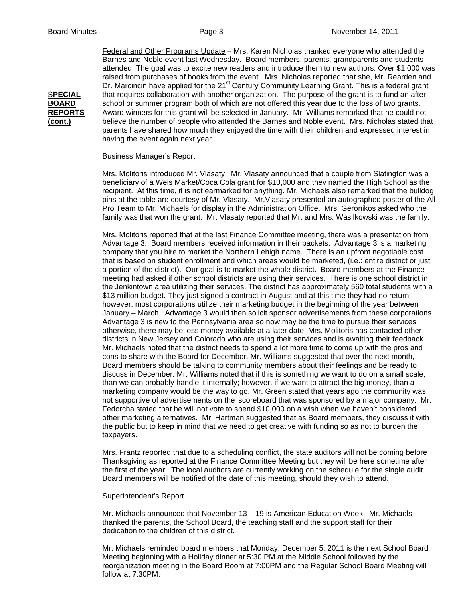Federal and Other Programs Update – Mrs. Karen Nicholas thanked everyone who attended the Barnes and Noble event last Wednesday. Board members, parents, grandparents and students attended. The goal was to excite new readers and introduce them to new authors. Over \$1,000 was raised from purchases of books from the event. Mrs. Nicholas reported that she, Mr. Rearden and Dr. Marcincin have applied for the  $21<sup>st</sup>$  Century Community Learning Grant. This is a federal grant S**PECIAL** that requires collaboration with another organization. The purpose of the grant is to fund an after **BOARD** school or summer program both of which are not offered this year due to the loss of two grants. **REPORTS** Award winners for this grant will be selected in January. Mr. Williams remarked that he could not **(cont.)** believe the number of people who attended the Barnes and Noble event. Mrs. Nicholas stated that parents have shared how much they enjoyed the time with their children and expressed interest in having the event again next year.

## Business Manager's Report

Mrs. Molitoris introduced Mr. Vlasaty. Mr. Vlasaty announced that a couple from Slatington was a beneficiary of a Weis Market/Coca Cola grant for \$10,000 and they named the High School as the recipient. At this time, it is not earmarked for anything. Mr. Michaels also remarked that the bulldog pins at the table are courtesy of Mr. Vlasaty. Mr.Vlasaty presented an autographed poster of the All Pro Team to Mr. Michaels for display in the Administration Office. Mrs. Geronikos asked who the family was that won the grant. Mr. Vlasaty reported that Mr. and Mrs. Wasilkowski was the family.

Mrs. Molitoris reported that at the last Finance Committee meeting, there was a presentation from Advantage 3. Board members received information in their packets. Advantage 3 is a marketing company that you hire to market the Northern Lehigh name. There is an upfront negotiable cost that is based on student enrollment and which areas would be marketed, (i.e.: entire district or just a portion of the district). Our goal is to market the whole district. Board members at the Finance meeting had asked if other school districts are using their services. There is one school district in the Jenkintown area utilizing their services. The district has approximately 560 total students with a \$13 million budget. They just signed a contract in August and at this time they had no return; however, most corporations utilize their marketing budget in the beginning of the year between January – March. Advantage 3 would then solicit sponsor advertisements from these corporations. Advantage 3 is new to the Pennsylvania area so now may be the time to pursue their services otherwise, there may be less money available at a later date. Mrs. Molitoris has contacted other districts in New Jersey and Colorado who are using their services and is awaiting their feedback. Mr. Michaels noted that the district needs to spend a lot more time to come up with the pros and cons to share with the Board for December. Mr. Williams suggested that over the next month, Board members should be talking to community members about their feelings and be ready to discuss in December. Mr. Williams noted that if this is something we want to do on a small scale, than we can probably handle it internally; however, if we want to attract the big money, than a marketing company would be the way to go. Mr. Green stated that years ago the community was not supportive of advertisements on the scoreboard that was sponsored by a major company. Mr. Fedorcha stated that he will not vote to spend \$10,000 on a wish when we haven't considered other marketing alternatives. Mr. Hartman suggested that as Board members, they discuss it with the public but to keep in mind that we need to get creative with funding so as not to burden the taxpayers.

Mrs. Frantz reported that due to a scheduling conflict, the state auditors will not be coming before Thanksgiving as reported at the Finance Committee Meeting but they will be here sometime after the first of the year. The local auditors are currently working on the schedule for the single audit. Board members will be notified of the date of this meeting, should they wish to attend.

### Superintendent's Report

Mr. Michaels announced that November 13 – 19 is American Education Week. Mr. Michaels thanked the parents, the School Board, the teaching staff and the support staff for their dedication to the children of this district.

Mr. Michaels reminded board members that Monday, December 5, 2011 is the next School Board Meeting beginning with a Holiday dinner at 5:30 PM at the Middle School followed by the reorganization meeting in the Board Room at 7:00PM and the Regular School Board Meeting will follow at 7:30PM.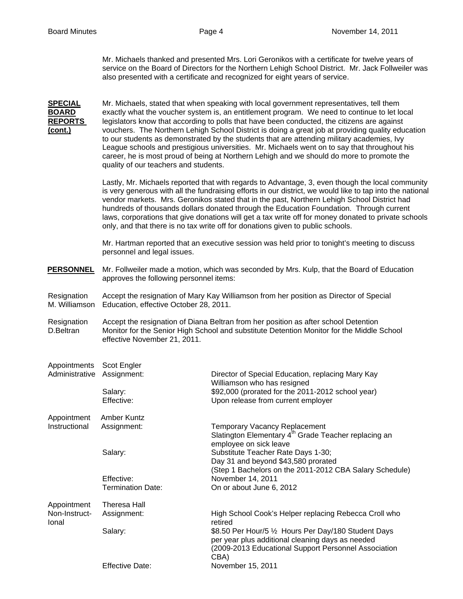Mr. Michaels thanked and presented Mrs. Lori Geronikos with a certificate for twelve years of service on the Board of Directors for the Northern Lehigh School District. Mr. Jack Follweiler was also presented with a certificate and recognized for eight years of service.

**SPECIAL** Mr. Michaels, stated that when speaking with local government representatives, tell them **BOARD** exactly what the voucher system is, an entitlement program. We need to continue to let local **REPORTS** legislators know that according to polls that have been conducted, the citizens are against **(cont.)** vouchers. The Northern Lehigh School District is doing a great job at providing quality education to our students as demonstrated by the students that are attending military academies, Ivy League schools and prestigious universities. Mr. Michaels went on to say that throughout his career, he is most proud of being at Northern Lehigh and we should do more to promote the quality of our teachers and students. Lastly, Mr. Michaels reported that with regards to Advantage, 3, even though the local community is very generous with all the fundraising efforts in our district, we would like to tap into the national vendor markets. Mrs. Geronikos stated that in the past, Northern Lehigh School District had hundreds of thousands dollars donated through the Education Foundation. Through current laws, corporations that give donations will get a tax write off for money donated to private schools only, and that there is no tax write off for donations given to public schools. Mr. Hartman reported that an executive session was held prior to tonight's meeting to discuss personnel and legal issues. **PERSONNEL** Mr. Follweiler made a motion, which was seconded by Mrs. Kulp, that the Board of Education approves the following personnel items: Resignation Accept the resignation of Mary Kay Williamson from her position as Director of Special M. Williamson Education, effective October 28, 2011. Resignation Accept the resignation of Diana Beltran from her position as after school Detention D.Beltran Monitor for the Senior High School and substitute Detention Monitor for the Middle School effective November 21, 2011. Appointments Scot Engler Administrative Assignment: Director of Special Education, replacing Mary Kay Williamson who has resigned Salary:  $$92,000$  (prorated for the 2011-2012 school year) Effective: Upon release from current employer Appointment Amber Kuntz Instructional Assignment: Temporary Vacancy Replacement Slatington Elementary 4<sup>th</sup> Grade Teacher replacing an employee on sick leave Salary: Substitute Teacher Rate Days 1-30; Day 31 and beyond \$43,580 prorated (Step 1 Bachelors on the 2011-2012 CBA Salary Schedule) Effective: November 14, 2011 Termination Date: On or about June 6, 2012 Appointment Theresa Hall Non-Instruct- Assignment: High School Cook's Helper replacing Rebecca Croll who Ional and the contract of the contract of the contract of the contract of the contract of the contract of the contract of the contract of the contract of the contract of the contract of the contract of the contract of the Salary: **\$8.50 Per Hour/5 ½ Hours Per Day/180 Student Days**  per year plus additional cleaning days as needed (2009-2013 Educational Support Personnel Association CBA) Effective Date: November 15, 2011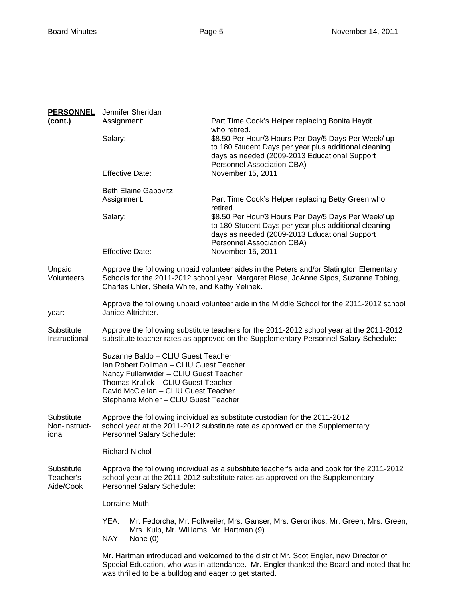| <b>PERSONNEL</b>                     | Jennifer Sheridan                                                                                                                                                                                                                               |                                                                                                                                                                               |  |
|--------------------------------------|-------------------------------------------------------------------------------------------------------------------------------------------------------------------------------------------------------------------------------------------------|-------------------------------------------------------------------------------------------------------------------------------------------------------------------------------|--|
| <u>(cont.)</u>                       | Assignment:                                                                                                                                                                                                                                     | Part Time Cook's Helper replacing Bonita Haydt                                                                                                                                |  |
|                                      | Salary:                                                                                                                                                                                                                                         | who retired.<br>\$8.50 Per Hour/3 Hours Per Day/5 Days Per Week/ up<br>to 180 Student Days per year plus additional cleaning<br>days as needed (2009-2013 Educational Support |  |
|                                      | <b>Effective Date:</b>                                                                                                                                                                                                                          | Personnel Association CBA)<br>November 15, 2011                                                                                                                               |  |
|                                      | <b>Beth Elaine Gabovitz</b><br>Assignment:                                                                                                                                                                                                      | Part Time Cook's Helper replacing Betty Green who<br>retired.                                                                                                                 |  |
|                                      | Salary:                                                                                                                                                                                                                                         | \$8.50 Per Hour/3 Hours Per Day/5 Days Per Week/ up<br>to 180 Student Days per year plus additional cleaning<br>days as needed (2009-2013 Educational Support                 |  |
|                                      | <b>Effective Date:</b>                                                                                                                                                                                                                          | Personnel Association CBA)<br>November 15, 2011                                                                                                                               |  |
| Unpaid<br>Volunteers                 | Approve the following unpaid volunteer aides in the Peters and/or Slatington Elementary<br>Schools for the 2011-2012 school year: Margaret Blose, JoAnne Sipos, Suzanne Tobing,<br>Charles Uhler, Sheila White, and Kathy Yelinek.              |                                                                                                                                                                               |  |
| year:                                | Janice Altrichter.                                                                                                                                                                                                                              | Approve the following unpaid volunteer aide in the Middle School for the 2011-2012 school                                                                                     |  |
| Substitute<br>Instructional          | Approve the following substitute teachers for the 2011-2012 school year at the 2011-2012<br>substitute teacher rates as approved on the Supplementary Personnel Salary Schedule:                                                                |                                                                                                                                                                               |  |
|                                      | Suzanne Baldo - CLIU Guest Teacher<br>Ian Robert Dollman - CLIU Guest Teacher<br>Nancy Fullenwider - CLIU Guest Teacher<br>Thomas Krulick - CLIU Guest Teacher<br>David McClellan - CLIU Guest Teacher<br>Stephanie Mohler - CLIU Guest Teacher |                                                                                                                                                                               |  |
| Substitute<br>Non-instruct-<br>ional | Personnel Salary Schedule:                                                                                                                                                                                                                      | Approve the following individual as substitute custodian for the 2011-2012<br>school year at the 2011-2012 substitute rate as approved on the Supplementary                   |  |
|                                      | <b>Richard Nichol</b>                                                                                                                                                                                                                           |                                                                                                                                                                               |  |
| Substitute<br>Teacher's<br>Aide/Cook | Approve the following individual as a substitute teacher's aide and cook for the 2011-2012<br>school year at the 2011-2012 substitute rates as approved on the Supplementary<br>Personnel Salary Schedule:                                      |                                                                                                                                                                               |  |
|                                      | Lorraine Muth                                                                                                                                                                                                                                   |                                                                                                                                                                               |  |
|                                      | YEA:<br>Mr. Fedorcha, Mr. Follweiler, Mrs. Ganser, Mrs. Geronikos, Mr. Green, Mrs. Green,<br>Mrs. Kulp, Mr. Williams, Mr. Hartman (9)<br>NAY:<br>None $(0)$                                                                                     |                                                                                                                                                                               |  |
|                                      | Mr. Hartman introduced and welcomed to the district Mr. Scot Engler, new Director of<br>Special Education, who was in attendance. Mr. Engler thanked the Board and noted that he                                                                |                                                                                                                                                                               |  |

was thrilled to be a bulldog and eager to get started.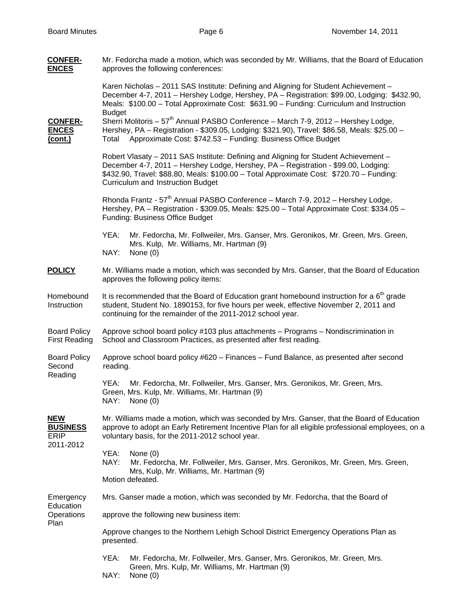| <b>CONFER-</b><br><b>ENCES</b>                            | Mr. Fedorcha made a motion, which was seconded by Mr. Williams, that the Board of Education<br>approves the following conferences:                                                                                                                                                                                 |  |  |
|-----------------------------------------------------------|--------------------------------------------------------------------------------------------------------------------------------------------------------------------------------------------------------------------------------------------------------------------------------------------------------------------|--|--|
|                                                           | Karen Nicholas – 2011 SAS Institute: Defining and Aligning for Student Achievement –<br>December 4-7, 2011 - Hershey Lodge, Hershey, PA - Registration: \$99.00, Lodging: \$432.90,<br>Meals: \$100.00 - Total Approximate Cost: \$631.90 - Funding: Curriculum and Instruction<br><b>Budget</b>                   |  |  |
| <b>CONFER-</b><br><b>ENCES</b><br><u>(cont.)</u>          | Sherri Molitoris - $57^{\text{th}}$ Annual PASBO Conference - March 7-9, 2012 - Hershey Lodge,<br>Hershey, PA - Registration - \$309.05, Lodging: \$321.90), Travel: \$86.58, Meals: \$25.00 -<br>Total Approximate Cost: \$742.53 - Funding: Business Office Budget                                               |  |  |
|                                                           | Robert Vlasaty - 2011 SAS Institute: Defining and Aligning for Student Achievement -<br>December 4-7, 2011 - Hershey Lodge, Hershey, PA - Registration - \$99.00, Lodging:<br>\$432.90, Travel: \$88.80, Meals: \$100.00 - Total Approximate Cost: \$720.70 - Funding:<br><b>Curriculum and Instruction Budget</b> |  |  |
|                                                           | Rhonda Frantz - $57th$ Annual PASBO Conference – March 7-9, 2012 – Hershey Lodge,<br>Hershey, PA - Registration - \$309.05, Meals: \$25.00 - Total Approximate Cost: \$334.05 -<br>Funding: Business Office Budget                                                                                                 |  |  |
|                                                           | Mr. Fedorcha, Mr. Follweiler, Mrs. Ganser, Mrs. Geronikos, Mr. Green, Mrs. Green,<br>YEA:<br>Mrs. Kulp, Mr. Williams, Mr. Hartman (9)<br>NAY:<br>None (0)                                                                                                                                                          |  |  |
| <b>POLICY</b>                                             | Mr. Williams made a motion, which was seconded by Mrs. Ganser, that the Board of Education<br>approves the following policy items:                                                                                                                                                                                 |  |  |
| Homebound<br>Instruction                                  | It is recommended that the Board of Education grant homebound instruction for a $6th$ grade<br>student, Student No. 1890153, for five hours per week, effective November 2, 2011 and<br>continuing for the remainder of the 2011-2012 school year.                                                                 |  |  |
| <b>Board Policy</b><br><b>First Reading</b>               | Approve school board policy #103 plus attachments - Programs - Nondiscrimination in<br>School and Classroom Practices, as presented after first reading.                                                                                                                                                           |  |  |
| <b>Board Policy</b><br>Second<br>Reading                  | Approve school board policy #620 - Finances - Fund Balance, as presented after second<br>reading.                                                                                                                                                                                                                  |  |  |
|                                                           | Mr. Fedorcha, Mr. Follweiler, Mrs. Ganser, Mrs. Geronikos, Mr. Green, Mrs.<br>YEA:<br>Green, Mrs. Kulp, Mr. Williams, Mr. Hartman (9)<br>NAY:<br>None $(0)$                                                                                                                                                        |  |  |
| <b>NEW</b><br><b>BUSINESS</b><br><b>ERIP</b><br>2011-2012 | Mr. Williams made a motion, which was seconded by Mrs. Ganser, that the Board of Education<br>approve to adopt an Early Retirement Incentive Plan for all eligible professional employees, on a<br>voluntary basis, for the 2011-2012 school year.                                                                 |  |  |
|                                                           | YEA:<br>None $(0)$<br>NAY:<br>Mr. Fedorcha, Mr. Follweiler, Mrs. Ganser, Mrs. Geronikos, Mr. Green, Mrs. Green,<br>Mrs, Kulp, Mr. Williams, Mr. Hartman (9)                                                                                                                                                        |  |  |
|                                                           | Motion defeated.                                                                                                                                                                                                                                                                                                   |  |  |
| Emergency<br>Education<br>Operations<br>Plan              | Mrs. Ganser made a motion, which was seconded by Mr. Fedorcha, that the Board of                                                                                                                                                                                                                                   |  |  |
|                                                           | approve the following new business item:                                                                                                                                                                                                                                                                           |  |  |
|                                                           | Approve changes to the Northern Lehigh School District Emergency Operations Plan as<br>presented.                                                                                                                                                                                                                  |  |  |
|                                                           | YEA:<br>Mr. Fedorcha, Mr. Follweiler, Mrs. Ganser, Mrs. Geronikos, Mr. Green, Mrs.<br>Green, Mrs. Kulp, Mr. Williams, Mr. Hartman (9)<br>NAY:<br>None $(0)$                                                                                                                                                        |  |  |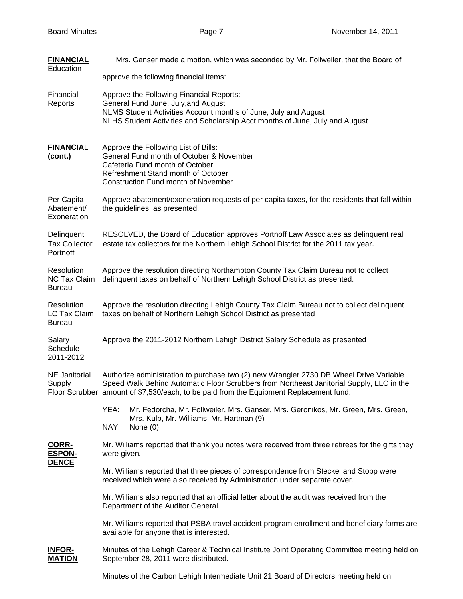| <b>FINANCIAL</b><br>Education                      | Mrs. Ganser made a motion, which was seconded by Mr. Follweiler, that the Board of                                                                                                                                                                                           |  |
|----------------------------------------------------|------------------------------------------------------------------------------------------------------------------------------------------------------------------------------------------------------------------------------------------------------------------------------|--|
|                                                    | approve the following financial items:                                                                                                                                                                                                                                       |  |
| Financial<br>Reports                               | Approve the Following Financial Reports:<br>General Fund June, July, and August<br>NLMS Student Activities Account months of June, July and August<br>NLHS Student Activities and Scholarship Acct months of June, July and August                                           |  |
| <b>FINANCIAL</b><br>(cont.)                        | Approve the Following List of Bills:<br>General Fund month of October & November<br>Cafeteria Fund month of October<br>Refreshment Stand month of October<br><b>Construction Fund month of November</b>                                                                      |  |
| Per Capita<br>Abatement/<br>Exoneration            | Approve abatement/exoneration requests of per capita taxes, for the residents that fall within<br>the guidelines, as presented.                                                                                                                                              |  |
| Delinquent<br><b>Tax Collector</b><br>Portnoff     | RESOLVED, the Board of Education approves Portnoff Law Associates as delinquent real<br>estate tax collectors for the Northern Lehigh School District for the 2011 tax year.                                                                                                 |  |
| Resolution<br><b>NC Tax Claim</b><br><b>Bureau</b> | Approve the resolution directing Northampton County Tax Claim Bureau not to collect<br>delinquent taxes on behalf of Northern Lehigh School District as presented.                                                                                                           |  |
| Resolution<br>LC Tax Claim<br><b>Bureau</b>        | Approve the resolution directing Lehigh County Tax Claim Bureau not to collect delinquent<br>taxes on behalf of Northern Lehigh School District as presented                                                                                                                 |  |
| Salary<br>Schedule<br>2011-2012                    | Approve the 2011-2012 Northern Lehigh District Salary Schedule as presented                                                                                                                                                                                                  |  |
| NE Janitorial<br>Supply                            | Authorize administration to purchase two (2) new Wrangler 2730 DB Wheel Drive Variable<br>Speed Walk Behind Automatic Floor Scrubbers from Northeast Janitorial Supply, LLC in the<br>Floor Scrubber amount of \$7,530/each, to be paid from the Equipment Replacement fund. |  |
|                                                    | YEA:<br>Mr. Fedorcha, Mr. Follweiler, Mrs. Ganser, Mrs. Geronikos, Mr. Green, Mrs. Green,<br>Mrs. Kulp, Mr. Williams, Mr. Hartman (9)<br>NAY:<br>None $(0)$                                                                                                                  |  |
| CORR-<br><b>ESPON-</b><br><b>DENCE</b>             | Mr. Williams reported that thank you notes were received from three retirees for the gifts they<br>were given.                                                                                                                                                               |  |
|                                                    | Mr. Williams reported that three pieces of correspondence from Steckel and Stopp were<br>received which were also received by Administration under separate cover.                                                                                                           |  |
|                                                    | Mr. Williams also reported that an official letter about the audit was received from the<br>Department of the Auditor General.                                                                                                                                               |  |
|                                                    | Mr. Williams reported that PSBA travel accident program enrollment and beneficiary forms are<br>available for anyone that is interested.                                                                                                                                     |  |
| <b>INFOR-</b><br><b>MATION</b>                     | Minutes of the Lehigh Career & Technical Institute Joint Operating Committee meeting held on<br>September 28, 2011 were distributed.                                                                                                                                         |  |
|                                                    | Minutes of the Carbon Lehigh Intermediate Unit 21 Board of Directors meeting held on                                                                                                                                                                                         |  |